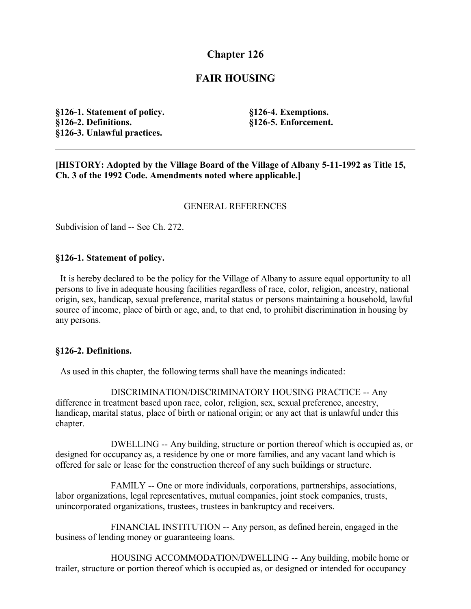# **Chapter 126**

# **FAIR HOUSING**

**§126-1. Statement of policy. §126-2. Definitions. §126-3. Unlawful practices.**

**§126-4. Exemptions. §126-5. Enforcement.**

**[HISTORY: Adopted by the Village Board of the Village of Albany 5-11-1992 as Title 15, Ch. 3 of the 1992 Code. Amendments noted where applicable.]**

### GENERAL REFERENCES

Subdivision of land -- See Ch. 272.

### **§126-1. Statement of policy.**

 It is hereby declared to be the policy for the Village of Albany to assure equal opportunity to all persons to live in adequate housing facilities regardless of race, color, religion, ancestry, national origin, sex, handicap, sexual preference, marital status or persons maintaining a household, lawful source of income, place of birth or age, and, to that end, to prohibit discrimination in housing by any persons.

#### **§126-2. Definitions.**

As used in this chapter, the following terms shall have the meanings indicated:

DISCRIMINATION/DISCRIMINATORY HOUSING PRACTICE -- Any difference in treatment based upon race, color, religion, sex, sexual preference, ancestry, handicap, marital status, place of birth or national origin; or any act that is unlawful under this chapter.

DWELLING -- Any building, structure or portion thereof which is occupied as, or designed for occupancy as, a residence by one or more families, and any vacant land which is offered for sale or lease for the construction thereof of any such buildings or structure.

FAMILY -- One or more individuals, corporations, partnerships, associations, labor organizations, legal representatives, mutual companies, joint stock companies, trusts, unincorporated organizations, trustees, trustees in bankruptcy and receivers.

FINANCIAL INSTITUTION -- Any person, as defined herein, engaged in the business of lending money or guaranteeing loans.

HOUSING ACCOMMODATION/DWELLING -- Any building, mobile home or trailer, structure or portion thereof which is occupied as, or designed or intended for occupancy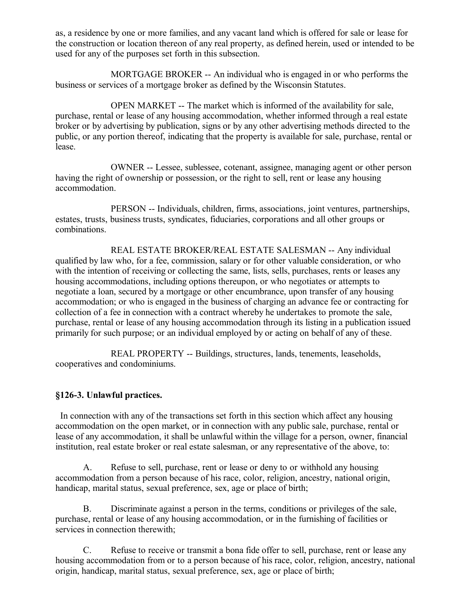as, a residence by one or more families, and any vacant land which is offered for sale or lease for the construction or location thereon of any real property, as defined herein, used or intended to be used for any of the purposes set forth in this subsection.

MORTGAGE BROKER -- An individual who is engaged in or who performs the business or services of a mortgage broker as defined by the Wisconsin Statutes.

OPEN MARKET -- The market which is informed of the availability for sale, purchase, rental or lease of any housing accommodation, whether informed through a real estate broker or by advertising by publication, signs or by any other advertising methods directed to the public, or any portion thereof, indicating that the property is available for sale, purchase, rental or lease.

OWNER -- Lessee, sublessee, cotenant, assignee, managing agent or other person having the right of ownership or possession, or the right to sell, rent or lease any housing accommodation.

PERSON -- Individuals, children, firms, associations, joint ventures, partnerships, estates, trusts, business trusts, syndicates, fiduciaries, corporations and all other groups or combinations.

REAL ESTATE BROKER/REAL ESTATE SALESMAN -- Any individual qualified by law who, for a fee, commission, salary or for other valuable consideration, or who with the intention of receiving or collecting the same, lists, sells, purchases, rents or leases any housing accommodations, including options thereupon, or who negotiates or attempts to negotiate a loan, secured by a mortgage or other encumbrance, upon transfer of any housing accommodation; or who is engaged in the business of charging an advance fee or contracting for collection of a fee in connection with a contract whereby he undertakes to promote the sale, purchase, rental or lease of any housing accommodation through its listing in a publication issued primarily for such purpose; or an individual employed by or acting on behalf of any of these.

REAL PROPERTY -- Buildings, structures, lands, tenements, leaseholds, cooperatives and condominiums.

## **§126-3. Unlawful practices.**

 In connection with any of the transactions set forth in this section which affect any housing accommodation on the open market, or in connection with any public sale, purchase, rental or lease of any accommodation, it shall be unlawful within the village for a person, owner, financial institution, real estate broker or real estate salesman, or any representative of the above, to:

A. Refuse to sell, purchase, rent or lease or deny to or withhold any housing accommodation from a person because of his race, color, religion, ancestry, national origin, handicap, marital status, sexual preference, sex, age or place of birth;

B. Discriminate against a person in the terms, conditions or privileges of the sale, purchase, rental or lease of any housing accommodation, or in the furnishing of facilities or services in connection therewith;

C. Refuse to receive or transmit a bona fide offer to sell, purchase, rent or lease any housing accommodation from or to a person because of his race, color, religion, ancestry, national origin, handicap, marital status, sexual preference, sex, age or place of birth;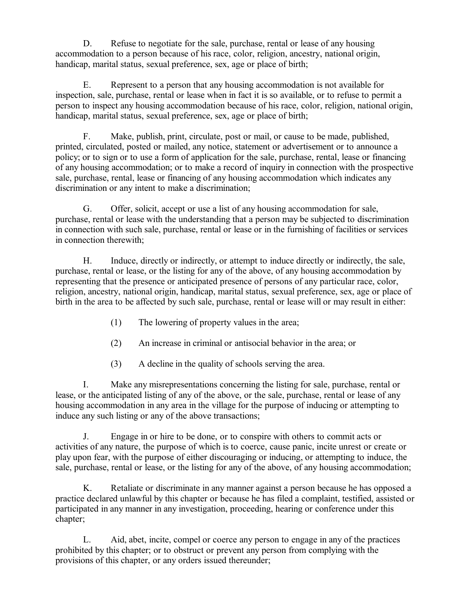D. Refuse to negotiate for the sale, purchase, rental or lease of any housing accommodation to a person because of his race, color, religion, ancestry, national origin, handicap, marital status, sexual preference, sex, age or place of birth;

E. Represent to a person that any housing accommodation is not available for inspection, sale, purchase, rental or lease when in fact it is so available, or to refuse to permit a person to inspect any housing accommodation because of his race, color, religion, national origin, handicap, marital status, sexual preference, sex, age or place of birth;

F. Make, publish, print, circulate, post or mail, or cause to be made, published, printed, circulated, posted or mailed, any notice, statement or advertisement or to announce a policy; or to sign or to use a form of application for the sale, purchase, rental, lease or financing of any housing accommodation; or to make a record of inquiry in connection with the prospective sale, purchase, rental, lease or financing of any housing accommodation which indicates any discrimination or any intent to make a discrimination;

G. Offer, solicit, accept or use a list of any housing accommodation for sale, purchase, rental or lease with the understanding that a person may be subjected to discrimination in connection with such sale, purchase, rental or lease or in the furnishing of facilities or services in connection therewith;

H. Induce, directly or indirectly, or attempt to induce directly or indirectly, the sale, purchase, rental or lease, or the listing for any of the above, of any housing accommodation by representing that the presence or anticipated presence of persons of any particular race, color, religion, ancestry, national origin, handicap, marital status, sexual preference, sex, age or place of birth in the area to be affected by such sale, purchase, rental or lease will or may result in either:

- (1) The lowering of property values in the area;
- (2) An increase in criminal or antisocial behavior in the area; or
- (3) A decline in the quality of schools serving the area.

I. Make any misrepresentations concerning the listing for sale, purchase, rental or lease, or the anticipated listing of any of the above, or the sale, purchase, rental or lease of any housing accommodation in any area in the village for the purpose of inducing or attempting to induce any such listing or any of the above transactions;

J. Engage in or hire to be done, or to conspire with others to commit acts or activities of any nature, the purpose of which is to coerce, cause panic, incite unrest or create or play upon fear, with the purpose of either discouraging or inducing, or attempting to induce, the sale, purchase, rental or lease, or the listing for any of the above, of any housing accommodation;

K. Retaliate or discriminate in any manner against a person because he has opposed a practice declared unlawful by this chapter or because he has filed a complaint, testified, assisted or participated in any manner in any investigation, proceeding, hearing or conference under this chapter;

L. Aid, abet, incite, compel or coerce any person to engage in any of the practices prohibited by this chapter; or to obstruct or prevent any person from complying with the provisions of this chapter, or any orders issued thereunder;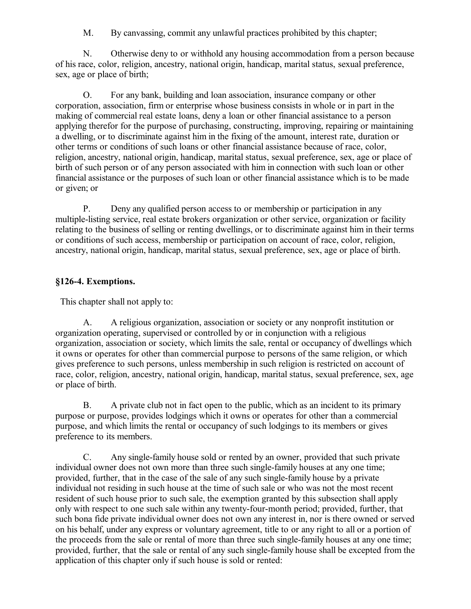M. By canvassing, commit any unlawful practices prohibited by this chapter;

N. Otherwise deny to or withhold any housing accommodation from a person because of his race, color, religion, ancestry, national origin, handicap, marital status, sexual preference, sex, age or place of birth;

O. For any bank, building and loan association, insurance company or other corporation, association, firm or enterprise whose business consists in whole or in part in the making of commercial real estate loans, deny a loan or other financial assistance to a person applying therefor for the purpose of purchasing, constructing, improving, repairing or maintaining a dwelling, or to discriminate against him in the fixing of the amount, interest rate, duration or other terms or conditions of such loans or other financial assistance because of race, color, religion, ancestry, national origin, handicap, marital status, sexual preference, sex, age or place of birth of such person or of any person associated with him in connection with such loan or other financial assistance or the purposes of such loan or other financial assistance which is to be made or given; or

P. Deny any qualified person access to or membership or participation in any multiple-listing service, real estate brokers organization or other service, organization or facility relating to the business of selling or renting dwellings, or to discriminate against him in their terms or conditions of such access, membership or participation on account of race, color, religion, ancestry, national origin, handicap, marital status, sexual preference, sex, age or place of birth.

## **§126-4. Exemptions.**

This chapter shall not apply to:

A. A religious organization, association or society or any nonprofit institution or organization operating, supervised or controlled by or in conjunction with a religious organization, association or society, which limits the sale, rental or occupancy of dwellings which it owns or operates for other than commercial purpose to persons of the same religion, or which gives preference to such persons, unless membership in such religion is restricted on account of race, color, religion, ancestry, national origin, handicap, marital status, sexual preference, sex, age or place of birth.

B. A private club not in fact open to the public, which as an incident to its primary purpose or purpose, provides lodgings which it owns or operates for other than a commercial purpose, and which limits the rental or occupancy of such lodgings to its members or gives preference to its members.

C. Any single-family house sold or rented by an owner, provided that such private individual owner does not own more than three such single-family houses at any one time; provided, further, that in the case of the sale of any such single-family house by a private individual not residing in such house at the time of such sale or who was not the most recent resident of such house prior to such sale, the exemption granted by this subsection shall apply only with respect to one such sale within any twenty-four-month period; provided, further, that such bona fide private individual owner does not own any interest in, nor is there owned or served on his behalf, under any express or voluntary agreement, title to or any right to all or a portion of the proceeds from the sale or rental of more than three such single-family houses at any one time; provided, further, that the sale or rental of any such single-family house shall be excepted from the application of this chapter only if such house is sold or rented: